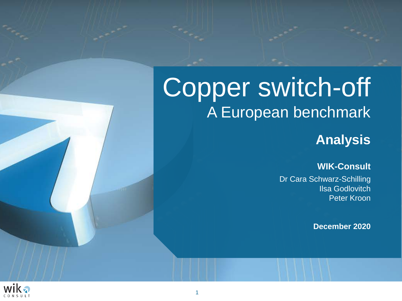## Copper switch-off A European benchmark

## **Analysis**

#### **WIK-Consult**

Dr Cara Schwarz-Schilling Ilsa Godlovitch Peter Kroon

**December 2020**

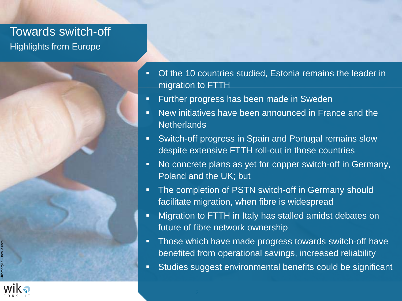## Towards switch-off Highlights from Europe



- **Further progress has been made in Sweden**
- New initiatives have been announced in France and the **Netherlands**
- **Switch-off progress in Spain and Portugal remains slow** despite extensive FTTH roll-out in those countries
- No concrete plans as yet for copper switch-off in Germany, Poland and the UK; but
- **The completion of PSTN switch-off in Germany should** facilitate migration, when fibre is widespread
- **Migration to FTTH in Italy has stalled amidst debates on** future of fibre network ownership
- **Those which have made progress towards switch-off have** benefited from operational savings, increased reliability
- Studies suggest environmental benefits could be significant

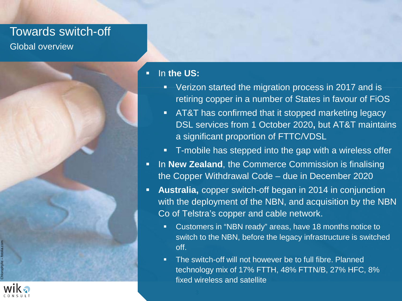## Towards switch-off Global overview



#### **ID the US:**

- **Verizon started the migration process in 2017 and is** retiring copper in a number of States in favour of FiOS
- **AT&T** has confirmed that it stopped marketing legacy DSL services from 1 October 2020**,** but AT&T maintains a significant proportion of FTTC/VDSL
- **T**-mobile has stepped into the gap with a wireless offer
- **IF In New Zealand, the Commerce Commission is finalising** the Copper Withdrawal Code – due in December 2020
- **Australia,** copper switch-off began in 2014 in conjunction with the deployment of the NBN, and acquisition by the NBN Co of Telstra's copper and cable network.
	- Customers in "NBN ready" areas, have 18 months notice to switch to the NBN, before the legacy infrastructure is switched off.
	- **The switch-off will not however be to full fibre. Planned** technology mix of 17% FTTH, 48% FTTN/B, 27% HFC, 8% fixed wireless and satellite

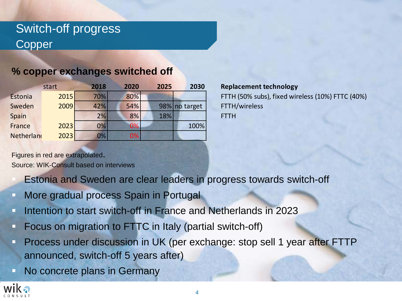## Switch-off progress Copper

#### **% copper exchanges switched off**

|            | start | 2018 | 2020 | 2025 | 2030          | Repla       |
|------------|-------|------|------|------|---------------|-------------|
| Estonia    | 2015  | 70%  | 80%  |      |               | <b>FTTH</b> |
| Sweden     | 2009  | 42%  | 54%  |      | 98% no target | <b>FTTH</b> |
| Spain      |       | 2%   | 8%   | 18%  |               | <b>FTTH</b> |
| France     | 2023  | 0%   | 0%   |      | 100%          |             |
| Netherland | 2023  | 0%   | 0%   |      |               |             |

**Replacement technology** FTTH (50% subs), fixed wireless (10%) FTTC (40%) FTTH/wireless

Source: WIK-Consult based on interviews Figures in red are extrapolated.

#### Estonia and Sweden are clear leaders in progress towards switch-off

- **More gradual process Spain in Portugal**
- Intention to start switch-off in France and Netherlands in 2023
- **Focus on migration to FTTC in Italy (partial switch-off)**
- **Process under discussion in UK (per exchange: stop sell 1 year after FTTP** announced, switch-off 5 years after)
- **No concrete plans in Germany**

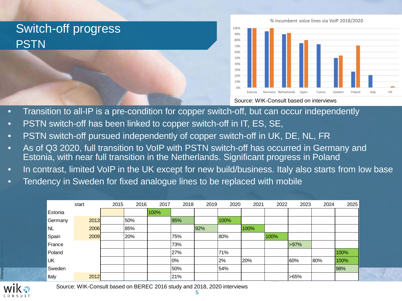# Switch-off progress **PSTN**



Source: WIK-Consult based on interviews

- Transition to all-IP is a pre-condition for copper switch-off, but can occur independently
- PSTN switch-off has been linked to copper switch-off in IT, ES, SE,
- PSTN switch-off pursued independently of copper switch-off in UK, DE, NL, FR
- As of Q3 2020, full transition to VoIP with PSTN switch-off has occurred in Germany and Estonia, with near full transition in the Netherlands. Significant progress in Poland
- In contrast, limited VoIP in the UK except for new build/business. Italy also starts from low base
- Tendency in Sweden for fixed analogue lines to be replaced with mobile

|         | start | 2015 | 2016 | 2017 | 2018 | 2019 | 2020 | 2021 | 2022 | 2023 | 2024 | 2025 |
|---------|-------|------|------|------|------|------|------|------|------|------|------|------|
| Estonia |       |      |      | 100% |      |      |      |      |      |      |      |      |
| Germany | 2013  |      | 50%  |      | 95%  |      | 100% |      |      |      |      |      |
| NL      | 2006  |      | 85%  |      |      | 92%  |      | 100% |      |      |      |      |
| Spain   | 2009  |      | 20%  |      | 75%  |      | 80%  |      | 100% |      |      |      |
| France  |       |      |      |      | 73%  |      |      |      |      | >97% |      |      |
| Poland  |       |      |      |      | 27%  |      | 71%  |      |      |      |      | 100% |
| UK      |       |      |      |      | 0%   |      | 2%   | 20%  |      | 60%  | 80%  | 100% |
| Sweden  |       |      |      |      | 50%  |      | 54%  |      |      |      |      | 98%  |
| Italy   | 2012  |      |      |      | 21%  |      |      |      |      | >65% |      |      |

Chlorophylle – fotolia.com

Source: WIK-Consult based on BEREC 2016 study and 2018, 2020 interviews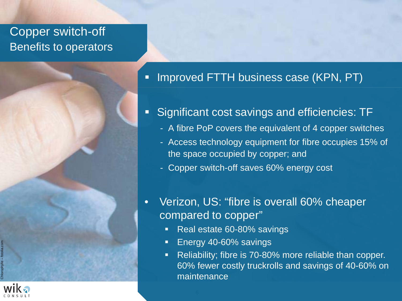## Copper switch-off Benefits to operators



- **Significant cost savings and efficiencies: TF** 
	- A fibre PoP covers the equivalent of 4 copper switches
	- Access technology equipment for fibre occupies 15% of the space occupied by copper; and
	- Copper switch-off saves 60% energy cost
- Verizon, US: "fibre is overall 60% cheaper compared to copper"
	- **Real estate 60-80% savings**
	- **Energy 40-60% savings**
	- Reliability; fibre is 70-80% more reliable than copper. 60% fewer costly truckrolls and savings of 40-60% on maintenance

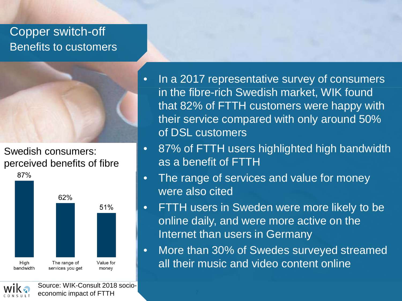## Copper switch-off Benefits to customers



Swedish consumers: perceived benefits of fibre



- In a 2017 representative survey of consumers in the fibre-rich Swedish market, WIK found that 82% of FTTH customers were happy with their service compared with only around 50% of DSL customers
- 87% of FTTH users highlighted high bandwidth as a benefit of FTTH
- The range of services and value for money were also cited
- FTTH users in Sweden were more likely to be online daily, and were more active on the Internet than users in Germany
- More than 30% of Swedes surveyed streamed all their music and video content online



Source: WIK-Consult 2018 socioeconomic impact of FTTH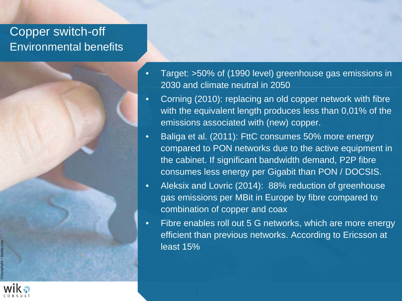## Copper switch-off Environmental benefits



- Corning (2010): replacing an old copper network with fibre with the equivalent length produces less than 0,01% of the emissions associated with (new) copper.
- Baliga et al. (2011): FttC consumes 50% more energy compared to PON networks due to the active equipment in the cabinet. If significant bandwidth demand, P2P fibre consumes less energy per Gigabit than PON / DOCSIS.
- Aleksix and Lovric (2014): 88% reduction of greenhouse gas emissions per MBit in Europe by fibre compared to combination of copper and coax
- Fibre enables roll out 5 G networks, which are more energy efficient than previous networks. According to Ericsson at least 15%

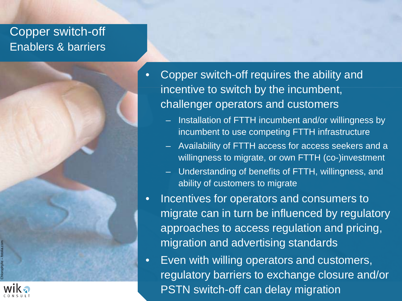## Copper switch-off Enablers & barriers



- Installation of FTTH incumbent and/or willingness by incumbent to use competing FTTH infrastructure
- Availability of FTTH access for access seekers and a willingness to migrate, or own FTTH (co-)investment
- Understanding of benefits of FTTH, willingness, and ability of customers to migrate
- Incentives for operators and consumers to migrate can in turn be influenced by regulatory approaches to access regulation and pricing, migration and advertising standards
- PSTN switch-off can delay migration • Even with willing operators and customers, regulatory barriers to exchange closure and/or

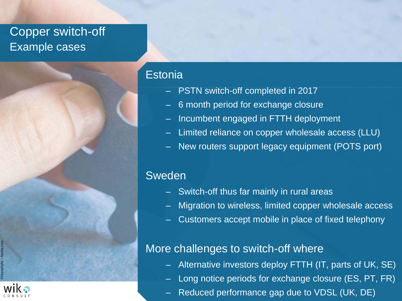## Copper switch-off Example cases

#### **Estonia**

- PSTN switch-off completed in 2017
- 6 month period for exchange closure
- Incumbent engaged in FTTH deployment
- Limited reliance on copper wholesale access (LLU)
- New routers support legacy equipment (POTS port)

#### Sweden

- Switch-off thus far mainly in rural areas
- Migration to wireless, limited copper wholesale access
- Customers accept mobile in place of fixed telephony

#### More challenges to switch-off where

- Alternative investors deploy FTTH (IT, parts of UK, SE)
- Long notice periods for exchange closure (ES, PT, FR)
- Reduced performance gap due to VDSL (UK, DE)

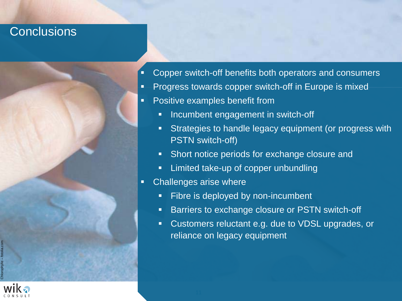### **Conclusions**



- **Progress towards copper switch-off in Europe is mixed**
- **Positive examples benefit from** 
	- **Incumbent engagement in switch-off**
	- **Strategies to handle legacy equipment (or progress with** PSTN switch-off)
	- **Short notice periods for exchange closure and**
	- **EXEDEE** Limited take-up of copper unbundling
- **EXEC** Challenges arise where
	- **Fibre is deployed by non-incumbent**
	- **Barriers to exchange closure or PSTN switch-off**
	- Customers reluctant e.g. due to VDSL upgrades, or reliance on legacy equipment

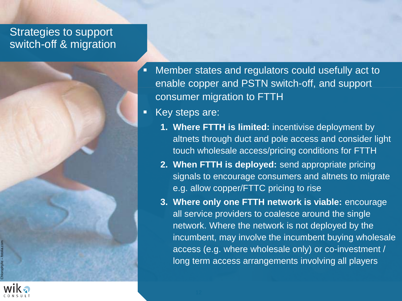#### Strategies to support switch-off & migration



Key steps are:

- **1. Where FTTH is limited:** incentivise deployment by altnets through duct and pole access and consider light touch wholesale access/pricing conditions for FTTH
- **2. When FTTH is deployed:** send appropriate pricing signals to encourage consumers and altnets to migrate e.g. allow copper/FTTC pricing to rise
- **3. Where only one FTTH network is viable:** encourage all service providers to coalesce around the single network. Where the network is not deployed by the incumbent, may involve the incumbent buying wholesale access (e.g. where wholesale only) or co-investment / long term access arrangements involving all players

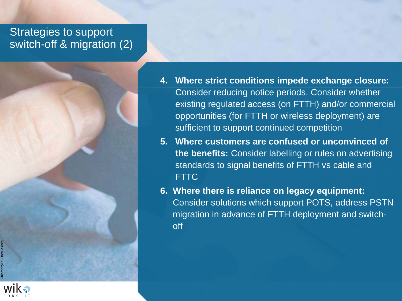#### Strategies to support switch-off & migration (2)



- **5. Where customers are confused or unconvinced of the benefits:** Consider labelling or rules on advertising standards to signal benefits of FTTH vs cable and FTTC
- **6. Where there is reliance on legacy equipment:**  Consider solutions which support POTS, address PSTN migration in advance of FTTH deployment and switchoff